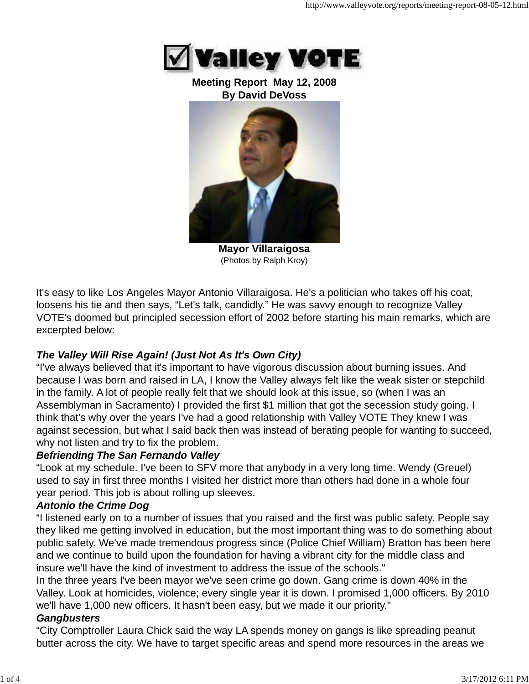

#### **Meeting Report May 12, 2008 By David DeVoss**



**Mayor Villaraigosa** (Photos by Ralph Kroy)

It's easy to like Los Angeles Mayor Antonio Villaraigosa. He's a politician who takes off his coat, loosens his tie and then says, "Let's talk, candidly." He was savvy enough to recognize Valley VOTE's doomed but principled secession effort of 2002 before starting his main remarks, which are excerpted below:

# *The Valley Will Rise Again! (Just Not As It's Own City)*

"I've always believed that it's important to have vigorous discussion about burning issues. And because I was born and raised in LA, I know the Valley always felt like the weak sister or stepchild in the family. A lot of people really felt that we should look at this issue, so (when I was an Assemblyman in Sacramento) I provided the first \$1 million that got the secession study going. I think that's why over the years I've had a good relationship with Valley VOTE They knew I was against secession, but what I said back then was instead of berating people for wanting to succeed, why not listen and try to fix the problem.

## *Befriending The San Fernando Valley*

"Look at my schedule. I've been to SFV more that anybody in a very long time. Wendy (Greuel) used to say in first three months I visited her district more than others had done in a whole four year period. This job is about rolling up sleeves.

# *Antonio the Crime Dog*

"I listened early on to a number of issues that you raised and the first was public safety. People say they liked me getting involved in education, but the most important thing was to do something about public safety. We've made tremendous progress since (Police Chief William) Bratton has been here and we continue to build upon the foundation for having a vibrant city for the middle class and insure we'll have the kind of investment to address the issue of the schools."

In the three years I've been mayor we've seen crime go down. Gang crime is down 40% in the Valley. Look at homicides, violence; every single year it is down. I promised 1,000 officers. By 2010 we'll have 1,000 new officers. It hasn't been easy, but we made it our priority."

## *Gangbusters*

"City Comptroller Laura Chick said the way LA spends money on gangs is like spreading peanut butter across the city. We have to target specific areas and spend more resources in the areas we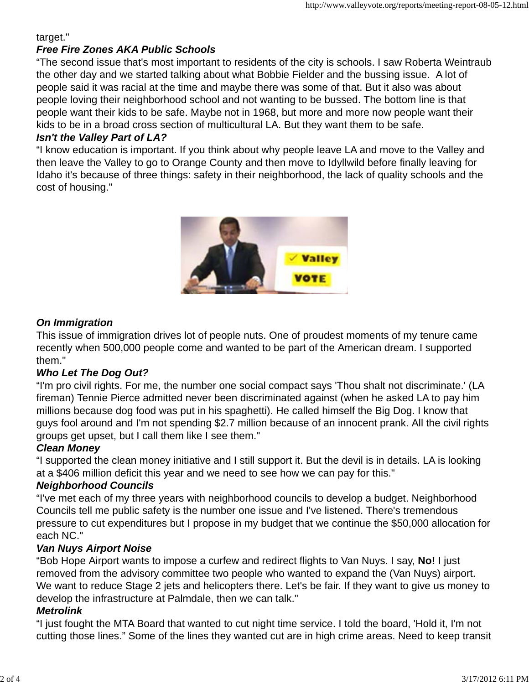target."

### *Free Fire Zones AKA Public Schools*

"The second issue that's most important to residents of the city is schools. I saw Roberta Weintraub the other day and we started talking about what Bobbie Fielder and the bussing issue. A lot of people said it was racial at the time and maybe there was some of that. But it also was about people loving their neighborhood school and not wanting to be bussed. The bottom line is that people want their kids to be safe. Maybe not in 1968, but more and more now people want their kids to be in a broad cross section of multicultural LA. But they want them to be safe.

#### *Isn't the Valley Part of LA?*

"I know education is important. If you think about why people leave LA and move to the Valley and then leave the Valley to go to Orange County and then move to Idyllwild before finally leaving for Idaho it's because of three things: safety in their neighborhood, the lack of quality schools and the cost of housing."



#### *On Immigration*

This issue of immigration drives lot of people nuts. One of proudest moments of my tenure came recently when 500,000 people come and wanted to be part of the American dream. I supported them."

#### *Who Let The Dog Out?*

"I'm pro civil rights. For me, the number one social compact says 'Thou shalt not discriminate.' (LA fireman) Tennie Pierce admitted never been discriminated against (when he asked LA to pay him millions because dog food was put in his spaghetti). He called himself the Big Dog. I know that guys fool around and I'm not spending \$2.7 million because of an innocent prank. All the civil rights groups get upset, but I call them like I see them."

## *Clean Money*

"I supported the clean money initiative and I still support it. But the devil is in details. LA is looking at a \$406 million deficit this year and we need to see how we can pay for this."

#### *Neighborhood Councils*

"I've met each of my three years with neighborhood councils to develop a budget. Neighborhood Councils tell me public safety is the number one issue and I've listened. There's tremendous pressure to cut expenditures but I propose in my budget that we continue the \$50,000 allocation for each NC."

#### *Van Nuys Airport Noise*

"Bob Hope Airport wants to impose a curfew and redirect flights to Van Nuys. I say, **No!** I just removed from the advisory committee two people who wanted to expand the (Van Nuys) airport. We want to reduce Stage 2 jets and helicopters there. Let's be fair. If they want to give us money to develop the infrastructure at Palmdale, then we can talk."

#### *Metrolink*

"I just fought the MTA Board that wanted to cut night time service. I told the board, 'Hold it, I'm not cutting those lines." Some of the lines they wanted cut are in high crime areas. Need to keep transit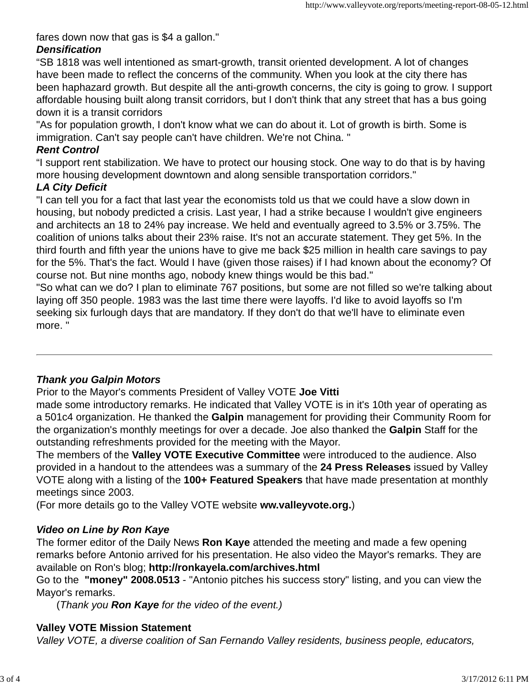fares down now that gas is \$4 a gallon."

## *Densification*

"SB 1818 was well intentioned as smart-growth, transit oriented development. A lot of changes have been made to reflect the concerns of the community. When you look at the city there has been haphazard growth. But despite all the anti-growth concerns, the city is going to grow. I support affordable housing built along transit corridors, but I don't think that any street that has a bus going down it is a transit corridors

"As for population growth, I don't know what we can do about it. Lot of growth is birth. Some is immigration. Can't say people can't have children. We're not China. "

## *Rent Control*

"I support rent stabilization. We have to protect our housing stock. One way to do that is by having more housing development downtown and along sensible transportation corridors."

## *LA City Deficit*

"I can tell you for a fact that last year the economists told us that we could have a slow down in housing, but nobody predicted a crisis. Last year, I had a strike because I wouldn't give engineers and architects an 18 to 24% pay increase. We held and eventually agreed to 3.5% or 3.75%. The coalition of unions talks about their 23% raise. It's not an accurate statement. They get 5%. In the third fourth and fifth year the unions have to give me back \$25 million in health care savings to pay for the 5%. That's the fact. Would I have (given those raises) if I had known about the economy? Of course not. But nine months ago, nobody knew things would be this bad."

"So what can we do? I plan to eliminate 767 positions, but some are not filled so we're talking about laying off 350 people. 1983 was the last time there were layoffs. I'd like to avoid layoffs so I'm seeking six furlough days that are mandatory. If they don't do that we'll have to eliminate even more. "

# *Thank you Galpin Motors*

Prior to the Mayor's comments President of Valley VOTE **Joe Vitti**

made some introductory remarks. He indicated that Valley VOTE is in it's 10th year of operating as a 501c4 organization. He thanked the **Galpin** management for providing their Community Room for the organization's monthly meetings for over a decade. Joe also thanked the **Galpin** Staff for the outstanding refreshments provided for the meeting with the Mayor.

The members of the **Valley VOTE Executive Committee** were introduced to the audience. Also provided in a handout to the attendees was a summary of the **24 Press Releases** issued by Valley VOTE along with a listing of the **100+ Featured Speakers** that have made presentation at monthly meetings since 2003.

(For more details go to the Valley VOTE website **ww.valleyvote.org.**)

# *Video on Line by Ron Kaye*

The former editor of the Daily News **Ron Kaye** attended the meeting and made a few opening remarks before Antonio arrived for his presentation. He also video the Mayor's remarks. They are available on Ron's blog; **http://ronkayela.com/archives.html**

Go to the **"money" 2008.0513** - "Antonio pitches his success story" listing, and you can view the Mayor's remarks.

(*Thank you Ron Kaye for the video of the event.)*

# **Valley VOTE Mission Statement**

*Valley VOTE, a diverse coalition of San Fernando Valley residents, business people, educators,*